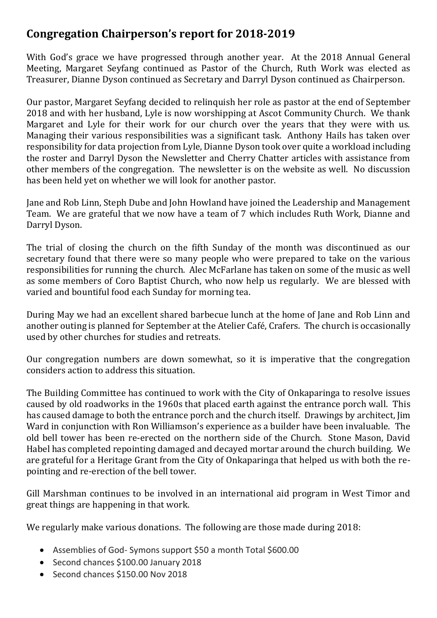## **Congregation Chairperson's report for 2018-2019**

With God's grace we have progressed through another year. At the 2018 Annual General Meeting, Margaret Seyfang continued as Pastor of the Church, Ruth Work was elected as Treasurer, Dianne Dyson continued as Secretary and Darryl Dyson continued as Chairperson.

Our pastor, Margaret Seyfang decided to relinquish her role as pastor at the end of September 2018 and with her husband, Lyle is now worshipping at Ascot Community Church. We thank Margaret and Lyle for their work for our church over the years that they were with us. Managing their various responsibilities was a significant task. Anthony Hails has taken over responsibility for data projection from Lyle, Dianne Dyson took over quite a workload including the roster and Darryl Dyson the Newsletter and Cherry Chatter articles with assistance from other members of the congregation. The newsletter is on the website as well. No discussion has been held yet on whether we will look for another pastor.

Jane and Rob Linn, Steph Dube and John Howland have joined the Leadership and Management Team. We are grateful that we now have a team of 7 which includes Ruth Work, Dianne and Darryl Dyson.

The trial of closing the church on the fifth Sunday of the month was discontinued as our secretary found that there were so many people who were prepared to take on the various responsibilities for running the church. Alec McFarlane has taken on some of the music as well as some members of Coro Baptist Church, who now help us regularly. We are blessed with varied and bountiful food each Sunday for morning tea.

During May we had an excellent shared barbecue lunch at the home of Jane and Rob Linn and another outing is planned for September at the Atelier Café, Crafers. The church is occasionally used by other churches for studies and retreats.

Our congregation numbers are down somewhat, so it is imperative that the congregation considers action to address this situation.

The Building Committee has continued to work with the City of Onkaparinga to resolve issues caused by old roadworks in the 1960s that placed earth against the entrance porch wall. This has caused damage to both the entrance porch and the church itself. Drawings by architect, Jim Ward in conjunction with Ron Williamson's experience as a builder have been invaluable. The old bell tower has been re-erected on the northern side of the Church. Stone Mason, David Habel has completed repointing damaged and decayed mortar around the church building. We are grateful for a Heritage Grant from the City of Onkaparinga that helped us with both the repointing and re-erection of the bell tower.

Gill Marshman continues to be involved in an international aid program in West Timor and great things are happening in that work.

We regularly make various donations. The following are those made during 2018:

- Assemblies of God- Symons support \$50 a month Total \$600.00
- Second chances \$100.00 January 2018
- Second chances \$150.00 Nov 2018